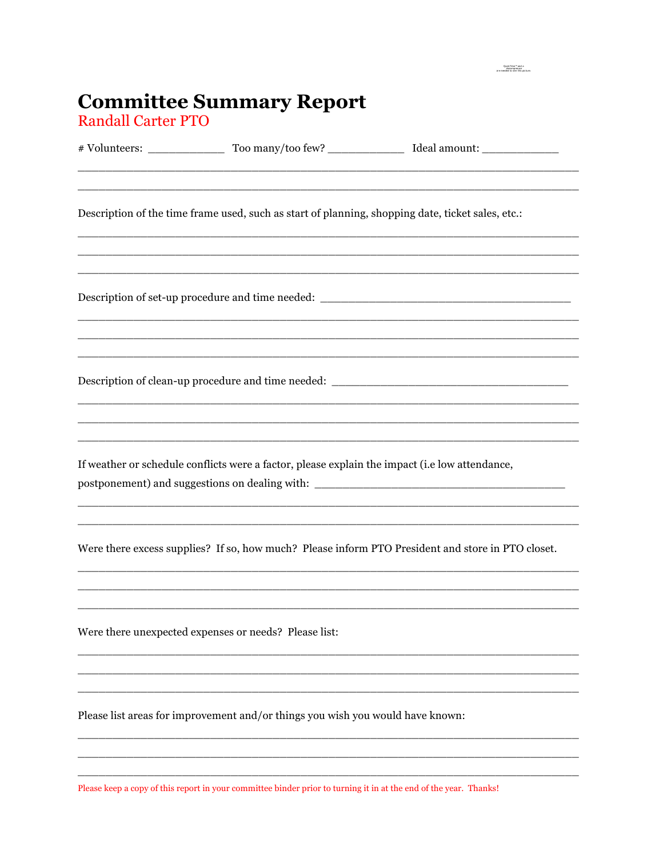## **Committee Summary Report**<br>Randall Carter PTO

|                                                                                                | Description of the time frame used, such as start of planning, shopping date, ticket sales, etc.:                     |                                                                                                   |  |  |
|------------------------------------------------------------------------------------------------|-----------------------------------------------------------------------------------------------------------------------|---------------------------------------------------------------------------------------------------|--|--|
|                                                                                                |                                                                                                                       | Description of set-up procedure and time needed: ________________________________                 |  |  |
|                                                                                                |                                                                                                                       | Description of clean-up procedure and time needed: ______________________________                 |  |  |
| If weather or schedule conflicts were a factor, please explain the impact (i.e low attendance, |                                                                                                                       |                                                                                                   |  |  |
|                                                                                                | <u> 1989 - Johann John Stoff, deutscher Stoffen und der Stoffen und der Stoffen und der Stoffen und der Stoffen u</u> | Were there excess supplies? If so, how much? Please inform PTO President and store in PTO closet. |  |  |
|                                                                                                | Were there unexpected expenses or needs? Please list:                                                                 |                                                                                                   |  |  |
|                                                                                                | Please list areas for improvement and/or things you wish you would have known:                                        |                                                                                                   |  |  |
|                                                                                                |                                                                                                                       |                                                                                                   |  |  |

 $\begin{array}{c} \text{QuckTime}^{\infty}\text{ and a}\\ \text{decompression}\\ \text{are needed to see this picture.} \end{array}$ 

Please keep a copy of this report in your committee binder prior to turning it in at the end of the year. Thanks!